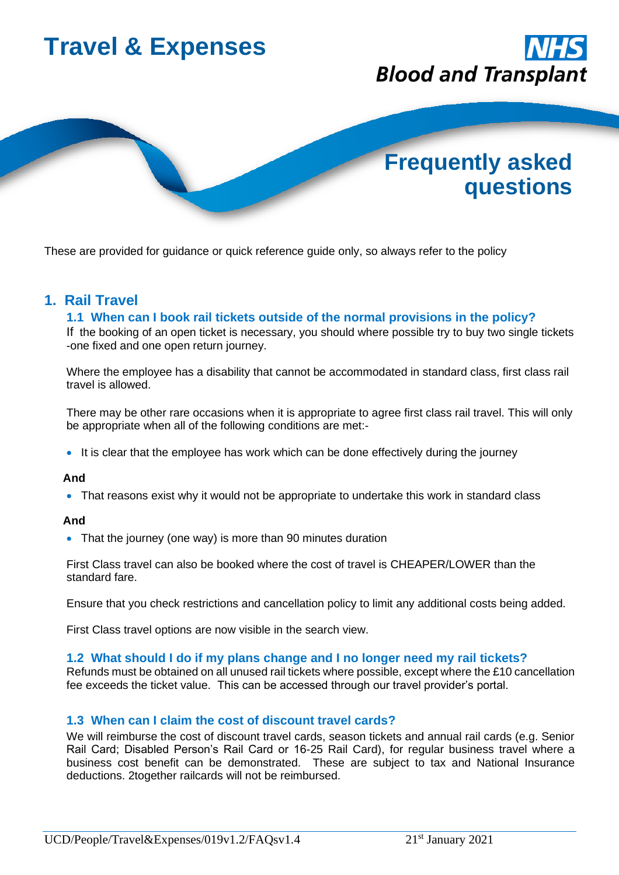

These are provided for guidance or quick reference guide only, so always refer to the policy

## **1. Rail Travel**

## **1.1 When can I book rail tickets outside of the normal provisions in the policy?**

If the booking of an open ticket is necessary, you should where possible try to buy two single tickets -one fixed and one open return journey.

Where the employee has a disability that cannot be accommodated in standard class, first class rail travel is allowed.

There may be other rare occasions when it is appropriate to agree first class rail travel. This will only be appropriate when all of the following conditions are met:-

• It is clear that the employee has work which can be done effectively during the journey

## **And**

• That reasons exist why it would not be appropriate to undertake this work in standard class

## **And**

• That the journey (one way) is more than 90 minutes duration

First Class travel can also be booked where the cost of travel is CHEAPER/LOWER than the standard fare.

Ensure that you check restrictions and cancellation policy to limit any additional costs being added.

First Class travel options are now visible in the search view.

## **1.2 What should I do if my plans change and I no longer need my rail tickets?**

Refunds must be obtained on all unused rail tickets where possible, except where the £10 cancellation fee exceeds the ticket value. This can be accessed through our travel provider's portal.

## **1.3 When can I claim the cost of discount travel cards?**

We will reimburse the cost of discount travel cards, season tickets and annual rail cards (e.g. Senior Rail Card; Disabled Person's Rail Card or 16-25 Rail Card), for regular business travel where a business cost benefit can be demonstrated. These are subject to tax and National Insurance deductions. 2together railcards will not be reimbursed.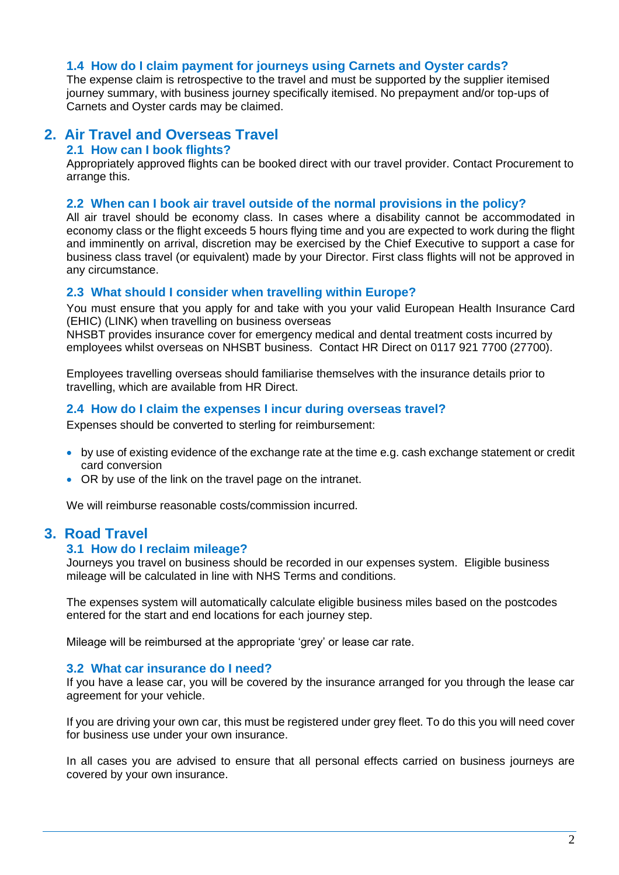## **1.4 How do I claim payment for journeys using Carnets and Oyster cards?**

The expense claim is retrospective to the travel and must be supported by the supplier itemised journey summary, with business journey specifically itemised. No prepayment and/or top-ups of Carnets and Oyster cards may be claimed.

## **2. Air Travel and Overseas Travel**

## **2.1 How can I book flights?**

Appropriately approved flights can be booked direct with our travel provider. Contact Procurement to arrange this.

## **2.2 When can I book air travel outside of the normal provisions in the policy?**

All air travel should be economy class. In cases where a disability cannot be accommodated in economy class or the flight exceeds 5 hours flying time and you are expected to work during the flight and imminently on arrival, discretion may be exercised by the Chief Executive to support a case for business class travel (or equivalent) made by your Director. First class flights will not be approved in any circumstance.

## **2.3 What should I consider when travelling within Europe?**

You must ensure that you apply for and take with you your valid European Health Insurance Card (EHIC) (LINK) when travelling on business overseas

NHSBT provides insurance cover for emergency medical and dental treatment costs incurred by employees whilst overseas on NHSBT business. Contact HR Direct on 0117 921 7700 (27700).

Employees travelling overseas should familiarise themselves with the insurance details prior to travelling, which are available from HR Direct.

## **2.4 How do I claim the expenses I incur during overseas travel?**

Expenses should be converted to sterling for reimbursement:

- by use of existing evidence of the exchange rate at the time e.g. cash exchange statement or credit card conversion
- OR by use of the link on the travel page on the intranet.

We will reimburse reasonable costs/commission incurred.

## **3. Road Travel**

## **3.1 How do I reclaim mileage?**

Journeys you travel on business should be recorded in our expenses system. Eligible business mileage will be calculated in line with NHS Terms and conditions.

The expenses system will automatically calculate eligible business miles based on the postcodes entered for the start and end locations for each journey step.

Mileage will be reimbursed at the appropriate 'grey' or lease car rate.

## **3.2 What car insurance do I need?**

If you have a lease car, you will be covered by the insurance arranged for you through the lease car agreement for your vehicle.

If you are driving your own car, this must be registered under grey fleet. To do this you will need cover for business use under your own insurance.

In all cases you are advised to ensure that all personal effects carried on business journeys are covered by your own insurance.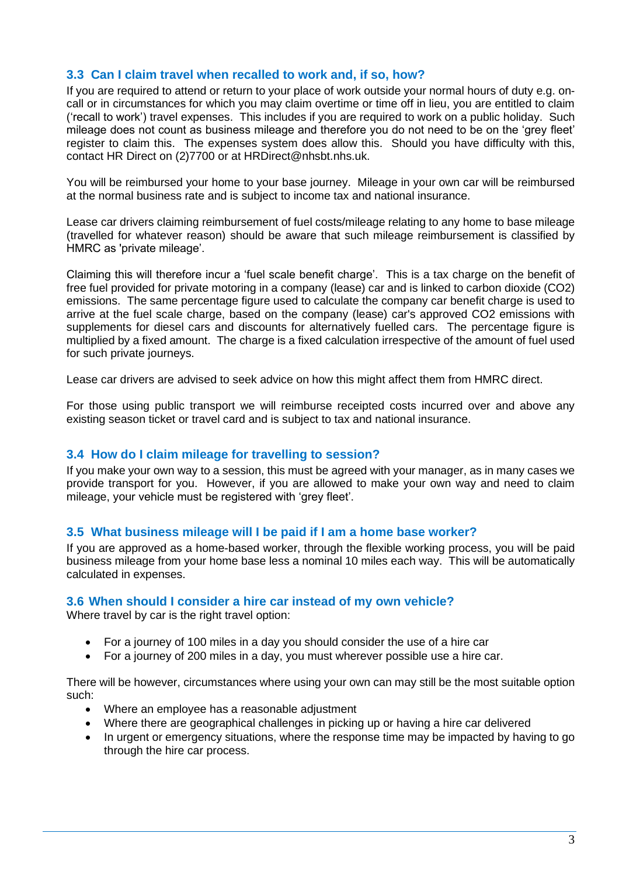## **3.3 Can I claim travel when recalled to work and, if so, how?**

If you are required to attend or return to your place of work outside your normal hours of duty e.g. oncall or in circumstances for which you may claim overtime or time off in lieu, you are entitled to claim ('recall to work') travel expenses. This includes if you are required to work on a public holiday. Such mileage does not count as business mileage and therefore you do not need to be on the 'grey fleet' register to claim this. The expenses system does allow this. Should you have difficulty with this, contact HR Direct on (2)7700 or at HRDirect@nhsbt.nhs.uk.

You will be reimbursed your home to your base journey. Mileage in your own car will be reimbursed at the normal business rate and is subject to income tax and national insurance.

Lease car drivers claiming reimbursement of fuel costs/mileage relating to any home to base mileage (travelled for whatever reason) should be aware that such mileage reimbursement is classified by HMRC as 'private mileage'.

Claiming this will therefore incur a 'fuel scale benefit charge'. This is a tax charge on the benefit of free fuel provided for private motoring in a company (lease) car and is linked to carbon dioxide (CO2) emissions. The same percentage figure used to calculate the company car benefit charge is used to arrive at the fuel scale charge, based on the company (lease) car's approved CO2 emissions with supplements for diesel cars and discounts for alternatively fuelled cars. The percentage figure is multiplied by a fixed amount. The charge is a fixed calculation irrespective of the amount of fuel used for such private journeys.

Lease car drivers are advised to seek advice on how this might affect them from HMRC direct.

For those using public transport we will reimburse receipted costs incurred over and above any existing season ticket or travel card and is subject to tax and national insurance.

## **3.4 How do I claim mileage for travelling to session?**

If you make your own way to a session, this must be agreed with your manager, as in many cases we provide transport for you. However, if you are allowed to make your own way and need to claim mileage, your vehicle must be registered with 'grey fleet'.

## **3.5 What business mileage will I be paid if I am a home base worker?**

If you are approved as a home-based worker, through the flexible working process, you will be paid business mileage from your home base less a nominal 10 miles each way. This will be automatically calculated in expenses.

## **3.6 When should I consider a hire car instead of my own vehicle?**

Where travel by car is the right travel option:

- For a journey of 100 miles in a day you should consider the use of a hire car
- For a journey of 200 miles in a day, you must wherever possible use a hire car.

There will be however, circumstances where using your own can may still be the most suitable option such:

- Where an employee has a reasonable adjustment
- Where there are geographical challenges in picking up or having a hire car delivered
- In urgent or emergency situations, where the response time may be impacted by having to go through the hire car process.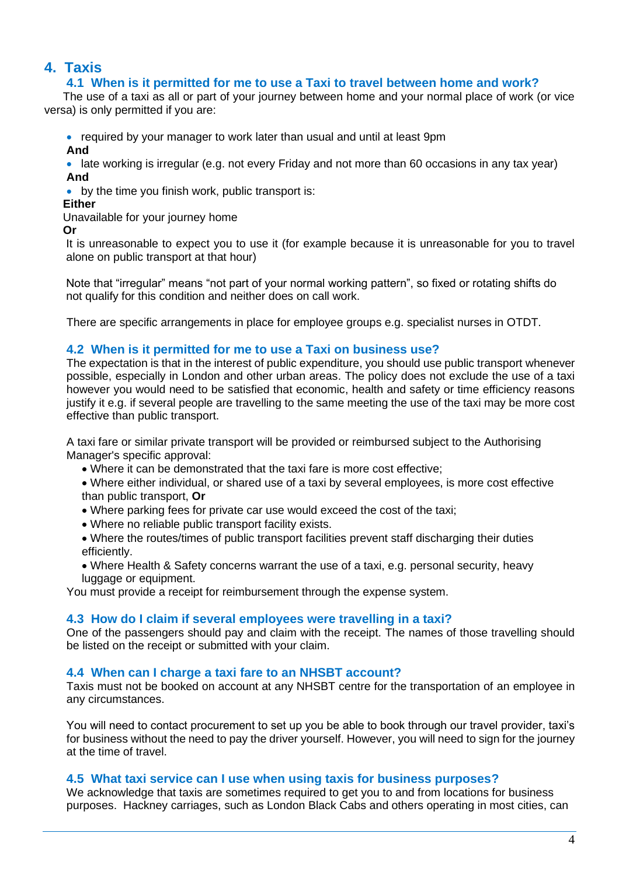# **4. Taxis**

## **4.1 When is it permitted for me to use a Taxi to travel between home and work?**

The use of a taxi as all or part of your journey between home and your normal place of work (or vice versa) is only permitted if you are:

• required by your manager to work later than usual and until at least 9pm

**And**

• late working is irregular (e.g. not every Friday and not more than 60 occasions in any tax year) **And**

• by the time you finish work, public transport is:

## **Either**

Unavailable for your journey home

**Or**

It is unreasonable to expect you to use it (for example because it is unreasonable for you to travel alone on public transport at that hour)

Note that "irregular" means "not part of your normal working pattern", so fixed or rotating shifts do not qualify for this condition and neither does on call work.

There are specific arrangements in place for employee groups e.g. specialist nurses in OTDT.

## **4.2 When is it permitted for me to use a Taxi on business use?**

The expectation is that in the interest of public expenditure, you should use public transport whenever possible, especially in London and other urban areas. The policy does not exclude the use of a taxi however you would need to be satisfied that economic, health and safety or time efficiency reasons justify it e.g. if several people are travelling to the same meeting the use of the taxi may be more cost effective than public transport.

A taxi fare or similar private transport will be provided or reimbursed subject to the Authorising Manager's specific approval:

- Where it can be demonstrated that the taxi fare is more cost effective;
- Where either individual, or shared use of a taxi by several employees, is more cost effective than public transport, **Or**
- Where parking fees for private car use would exceed the cost of the taxi;
- Where no reliable public transport facility exists.
- Where the routes/times of public transport facilities prevent staff discharging their duties efficiently.
- Where Health & Safety concerns warrant the use of a taxi, e.g. personal security, heavy luggage or equipment.

You must provide a receipt for reimbursement through the expense system.

## **4.3 How do I claim if several employees were travelling in a taxi?**

One of the passengers should pay and claim with the receipt. The names of those travelling should be listed on the receipt or submitted with your claim.

## **4.4 When can I charge a taxi fare to an NHSBT account?**

Taxis must not be booked on account at any NHSBT centre for the transportation of an employee in any circumstances.

You will need to contact procurement to set up you be able to book through our travel provider, taxi's for business without the need to pay the driver yourself. However, you will need to sign for the journey at the time of travel.

## **4.5 What taxi service can I use when using taxis for business purposes?**

We acknowledge that taxis are sometimes required to get you to and from locations for business purposes. Hackney carriages, such as London Black Cabs and others operating in most cities, can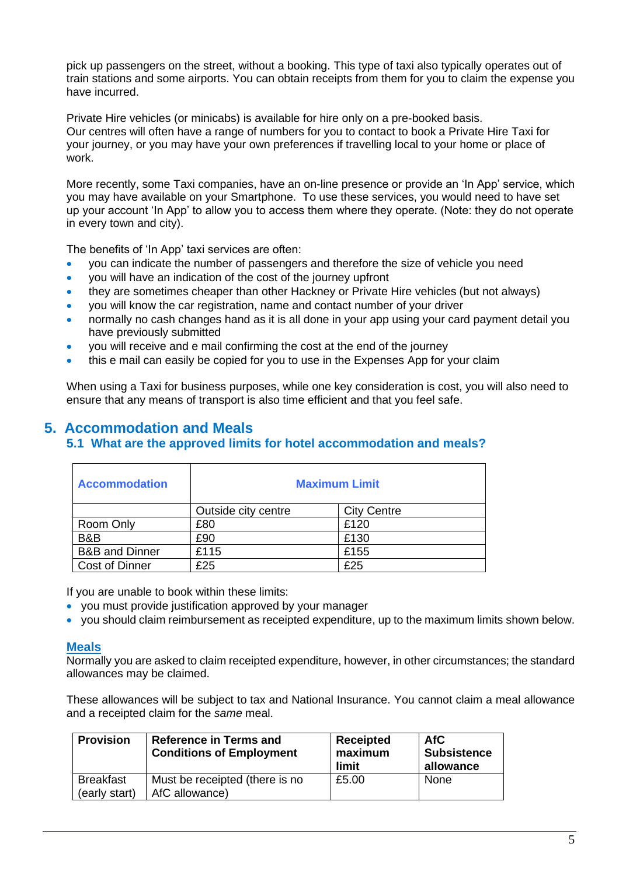pick up passengers on the street, without a booking. This type of taxi also typically operates out of train stations and some airports. You can obtain receipts from them for you to claim the expense you have incurred.

Private Hire vehicles (or minicabs) is available for hire only on a pre-booked basis. Our centres will often have a range of numbers for you to contact to book a Private Hire Taxi for your journey, or you may have your own preferences if travelling local to your home or place of work.

More recently, some Taxi companies, have an on-line presence or provide an 'In App' service, which you may have available on your Smartphone. To use these services, you would need to have set up your account 'In App' to allow you to access them where they operate. (Note: they do not operate in every town and city).

The benefits of 'In App' taxi services are often:

- you can indicate the number of passengers and therefore the size of vehicle you need
- you will have an indication of the cost of the journey upfront
- they are sometimes cheaper than other Hackney or Private Hire vehicles (but not always)
- you will know the car registration, name and contact number of your driver
- normally no cash changes hand as it is all done in your app using your card payment detail you have previously submitted
- you will receive and e mail confirming the cost at the end of the journey
- this e mail can easily be copied for you to use in the Expenses App for your claim

When using a Taxi for business purposes, while one key consideration is cost, you will also need to ensure that any means of transport is also time efficient and that you feel safe.

## **5. Accommodation and Meals**

## **5.1 What are the approved limits for hotel accommodation and meals?**

| <b>Accommodation</b>      | <b>Maximum Limit</b> |                    |  |
|---------------------------|----------------------|--------------------|--|
|                           | Outside city centre  | <b>City Centre</b> |  |
| Room Only                 | £80                  | £120               |  |
| B&B                       | £90                  | £130               |  |
| <b>B&amp;B</b> and Dinner | £115                 | £155               |  |
| Cost of Dinner            | £25                  | £25                |  |

If you are unable to book within these limits:

- you must provide justification approved by your manager
- you should claim reimbursement as receipted expenditure, up to the maximum limits shown below.

## **Meals**

Normally you are asked to claim receipted expenditure, however, in other circumstances; the standard allowances may be claimed.

These allowances will be subject to tax and National Insurance. You cannot claim a meal allowance and a receipted claim for the *same* meal.

| <b>Provision</b>                  | <b>Reference in Terms and</b><br><b>Conditions of Employment</b> | Receipted<br>maximum<br>limit | AfC<br><b>Subsistence</b><br>allowance |
|-----------------------------------|------------------------------------------------------------------|-------------------------------|----------------------------------------|
| <b>Breakfast</b><br>(early start) | Must be receipted (there is no<br>AfC allowance)                 | £5.00                         | None                                   |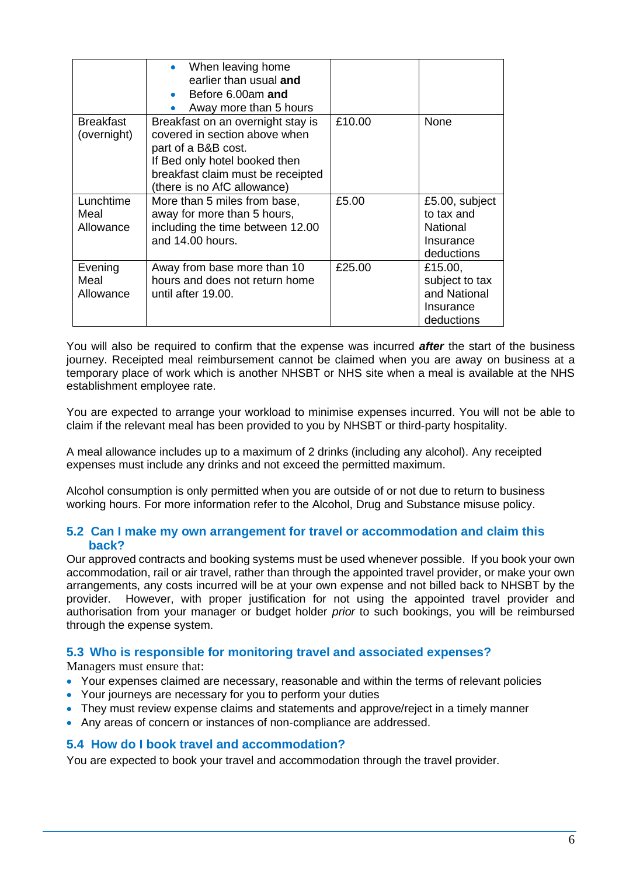|                                 | When leaving home<br>$\bullet$<br>earlier than usual and<br>Before 6.00am and<br>$\bullet$<br>Away more than 5 hours                                                                           |        |                                                                            |
|---------------------------------|------------------------------------------------------------------------------------------------------------------------------------------------------------------------------------------------|--------|----------------------------------------------------------------------------|
| <b>Breakfast</b><br>(overnight) | Breakfast on an overnight stay is<br>covered in section above when<br>part of a B&B cost.<br>If Bed only hotel booked then<br>breakfast claim must be receipted<br>(there is no AfC allowance) | £10.00 | None                                                                       |
| Lunchtime<br>Meal<br>Allowance  | More than 5 miles from base,<br>away for more than 5 hours,<br>including the time between 12.00<br>and 14.00 hours.                                                                            | £5.00  | £5.00, subject<br>to tax and<br><b>National</b><br>Insurance<br>deductions |
| Evening<br>Meal<br>Allowance    | Away from base more than 10<br>hours and does not return home<br>until after 19.00.                                                                                                            | £25.00 | £15.00,<br>subject to tax<br>and National<br>Insurance<br>deductions       |

You will also be required to confirm that the expense was incurred *after* the start of the business journey. Receipted meal reimbursement cannot be claimed when you are away on business at a temporary place of work which is another NHSBT or NHS site when a meal is available at the NHS establishment employee rate.

You are expected to arrange your workload to minimise expenses incurred. You will not be able to claim if the relevant meal has been provided to you by NHSBT or third-party hospitality.

A meal allowance includes up to a maximum of 2 drinks (including any alcohol). Any receipted expenses must include any drinks and not exceed the permitted maximum.

Alcohol consumption is only permitted when you are outside of or not due to return to business working hours. For more information refer to the Alcohol, Drug and Substance misuse policy.

## **5.2 Can I make my own arrangement for travel or accommodation and claim this back?**

Our approved contracts and booking systems must be used whenever possible. If you book your own accommodation, rail or air travel, rather than through the appointed travel provider, or make your own arrangements, any costs incurred will be at your own expense and not billed back to NHSBT by the provider. However, with proper justification for not using the appointed travel provider and authorisation from your manager or budget holder *prior* to such bookings, you will be reimbursed through the expense system.

## **5.3 Who is responsible for monitoring travel and associated expenses?**

Managers must ensure that:

- Your expenses claimed are necessary, reasonable and within the terms of relevant policies
- Your journeys are necessary for you to perform your duties
- They must review expense claims and statements and approve/reject in a timely manner
- Any areas of concern or instances of non-compliance are addressed.

## **5.4 How do I book travel and accommodation?**

You are expected to book your travel and accommodation through the travel provider.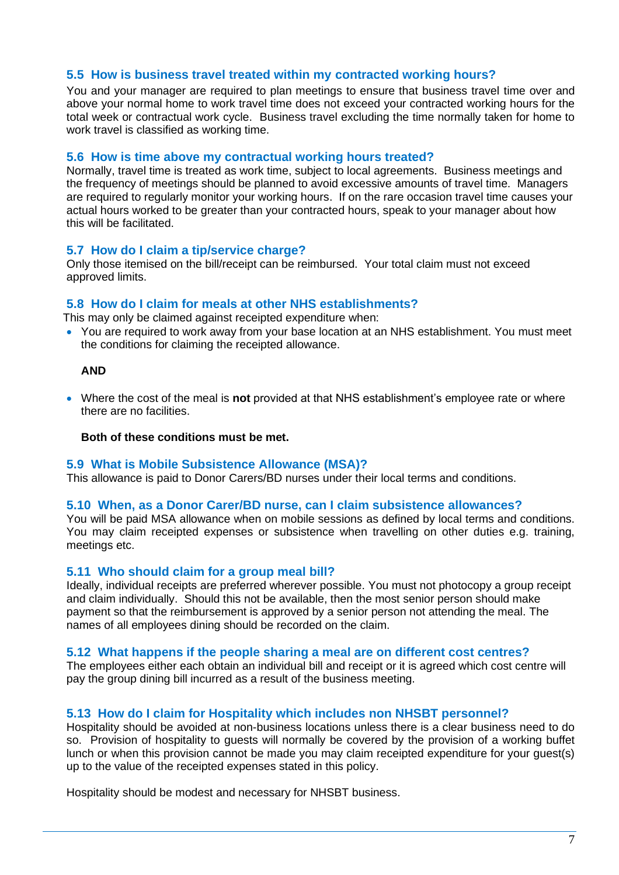## **5.5 How is business travel treated within my contracted working hours?**

You and your manager are required to plan meetings to ensure that business travel time over and above your normal home to work travel time does not exceed your contracted working hours for the total week or contractual work cycle. Business travel excluding the time normally taken for home to work travel is classified as working time.

#### **5.6 How is time above my contractual working hours treated?**

Normally, travel time is treated as work time, subject to local agreements. Business meetings and the frequency of meetings should be planned to avoid excessive amounts of travel time. Managers are required to regularly monitor your working hours. If on the rare occasion travel time causes your actual hours worked to be greater than your contracted hours, speak to your manager about how this will be facilitated.

## **5.7 How do I claim a tip/service charge?**

Only those itemised on the bill/receipt can be reimbursed. Your total claim must not exceed approved limits.

## **5.8 How do I claim for meals at other NHS establishments?**

This may only be claimed against receipted expenditure when:

• You are required to work away from your base location at an NHS establishment. You must meet the conditions for claiming the receipted allowance.

#### **AND**

• Where the cost of the meal is **not** provided at that NHS establishment's employee rate or where there are no facilities.

#### **Both of these conditions must be met.**

#### **5.9 What is Mobile Subsistence Allowance (MSA)?**

This allowance is paid to Donor Carers/BD nurses under their local terms and conditions.

## **5.10 When, as a Donor Carer/BD nurse, can I claim subsistence allowances?**

You will be paid MSA allowance when on mobile sessions as defined by local terms and conditions. You may claim receipted expenses or subsistence when travelling on other duties e.g. training, meetings etc.

## **5.11 Who should claim for a group meal bill?**

Ideally, individual receipts are preferred wherever possible. You must not photocopy a group receipt and claim individually. Should this not be available, then the most senior person should make payment so that the reimbursement is approved by a senior person not attending the meal. The names of all employees dining should be recorded on the claim.

#### **5.12 What happens if the people sharing a meal are on different cost centres?**

The employees either each obtain an individual bill and receipt or it is agreed which cost centre will pay the group dining bill incurred as a result of the business meeting.

## **5.13 How do I claim for Hospitality which includes non NHSBT personnel?**

Hospitality should be avoided at non-business locations unless there is a clear business need to do so. Provision of hospitality to guests will normally be covered by the provision of a working buffet lunch or when this provision cannot be made you may claim receipted expenditure for your guest(s) up to the value of the receipted expenses stated in this policy.

Hospitality should be modest and necessary for NHSBT business.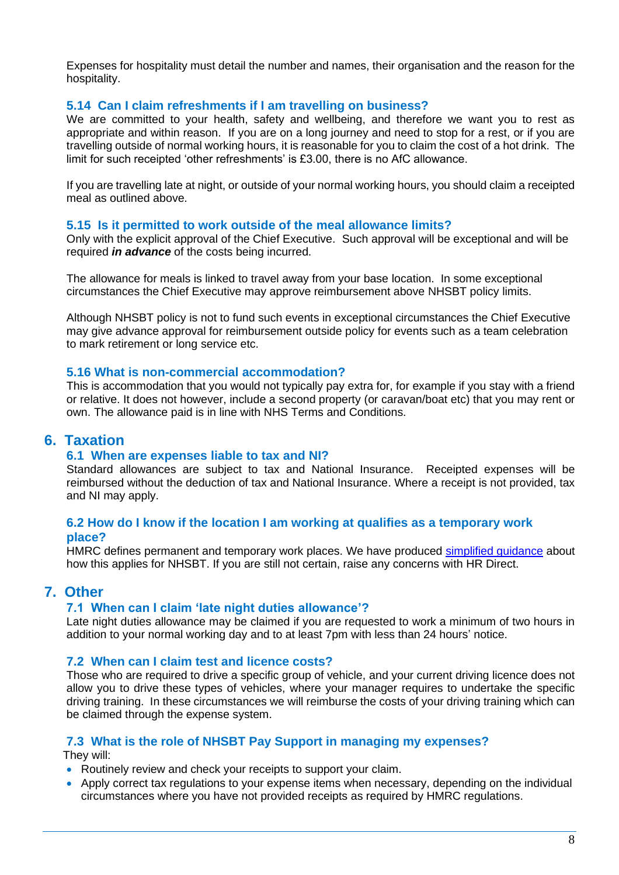Expenses for hospitality must detail the number and names, their organisation and the reason for the hospitality.

## **5.14 Can I claim refreshments if I am travelling on business?**

We are committed to your health, safety and wellbeing, and therefore we want you to rest as appropriate and within reason. If you are on a long journey and need to stop for a rest, or if you are travelling outside of normal working hours, it is reasonable for you to claim the cost of a hot drink. The limit for such receipted 'other refreshments' is £3.00, there is no AfC allowance.

If you are travelling late at night, or outside of your normal working hours, you should claim a receipted meal as outlined above.

## **5.15 Is it permitted to work outside of the meal allowance limits?**

Only with the explicit approval of the Chief Executive. Such approval will be exceptional and will be required *in advance* of the costs being incurred.

The allowance for meals is linked to travel away from your base location. In some exceptional circumstances the Chief Executive may approve reimbursement above NHSBT policy limits.

Although NHSBT policy is not to fund such events in exceptional circumstances the Chief Executive may give advance approval for reimbursement outside policy for events such as a team celebration to mark retirement or long service etc.

## **5.16 What is non-commercial accommodation?**

This is accommodation that you would not typically pay extra for, for example if you stay with a friend or relative. It does not however, include a second property (or caravan/boat etc) that you may rent or own. The allowance paid is in line with NHS Terms and Conditions.

## **6. Taxation**

## **6.1 When are expenses liable to tax and NI?**

Standard allowances are subject to tax and National Insurance. Receipted expenses will be reimbursed without the deduction of tax and National Insurance. Where a receipt is not provided, tax and NI may apply.

## **6.2 How do I know if the location I am working at qualifies as a temporary work place?**

HMRC defines permanent and temporary work places. We have produced [simplified guidance](http://peoplefirst.nhsbt.nhs.uk/People%20First%20-%20Document%20Library/Pay/Document%20-%20Understanding%20Mileage%20and%20Workbases.pdf) about how this applies for NHSBT. If you are still not certain, raise any concerns with HR Direct.

## **7. Other**

## **7.1 When can I claim 'late night duties allowance'?**

Late night duties allowance may be claimed if you are requested to work a minimum of two hours in addition to your normal working day and to at least 7pm with less than 24 hours' notice.

## **7.2 When can I claim test and licence costs?**

Those who are required to drive a specific group of vehicle, and your current driving licence does not allow you to drive these types of vehicles, where your manager requires to undertake the specific driving training. In these circumstances we will reimburse the costs of your driving training which can be claimed through the expense system.

## **7.3 What is the role of NHSBT Pay Support in managing my expenses?**

They will:

- Routinely review and check your receipts to support your claim.
- Apply correct tax regulations to your expense items when necessary, depending on the individual circumstances where you have not provided receipts as required by HMRC regulations.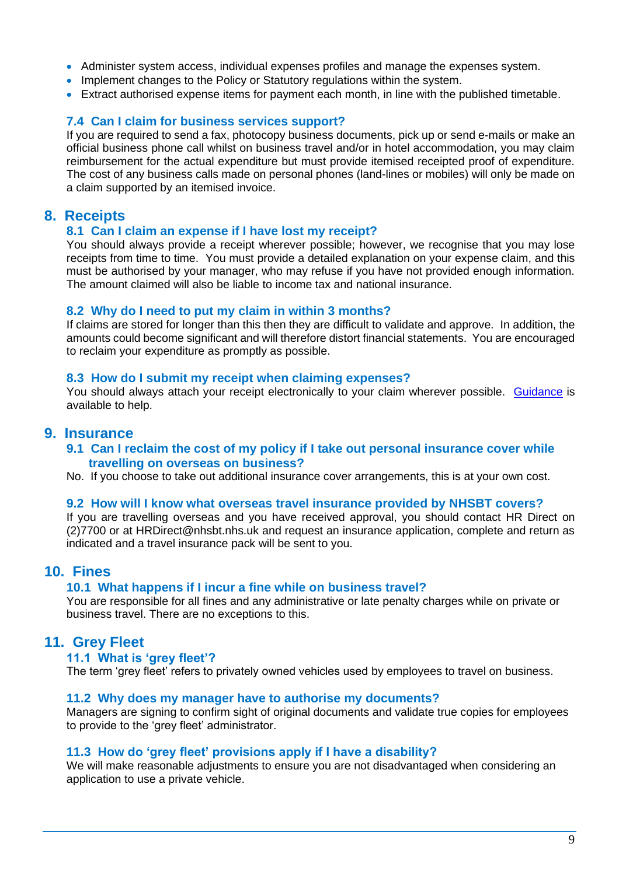- Administer system access, individual expenses profiles and manage the expenses system.
- Implement changes to the Policy or Statutory regulations within the system.
- Extract authorised expense items for payment each month, in line with the published timetable.

## **7.4 Can I claim for business services support?**

If you are required to send a fax, photocopy business documents, pick up or send e-mails or make an official business phone call whilst on business travel and/or in hotel accommodation, you may claim reimbursement for the actual expenditure but must provide itemised receipted proof of expenditure. The cost of any business calls made on personal phones (land-lines or mobiles) will only be made on a claim supported by an itemised invoice.

## **8. Receipts**

#### **8.1 Can I claim an expense if I have lost my receipt?**

You should always provide a receipt wherever possible; however, we recognise that you may lose receipts from time to time. You must provide a detailed explanation on your expense claim, and this must be authorised by your manager, who may refuse if you have not provided enough information. The amount claimed will also be liable to income tax and national insurance.

#### **8.2 Why do I need to put my claim in within 3 months?**

If claims are stored for longer than this then they are difficult to validate and approve. In addition, the amounts could become significant and will therefore distort financial statements. You are encouraged to reclaim your expenditure as promptly as possible.

#### **8.3 How do I submit my receipt when claiming expenses?**

You should always attach your receipt electronically to your claim wherever possible. [Guidance](http://peoplefirst.nhsbt.nhs.uk/People%20First%20-%20Document%20Library/Pay/Guidance%20-%20How%20to%20attach%20receipts%20using%20the%20expenses%20app.doc) is available to help.

## **9. Insurance**

**9.1 Can I reclaim the cost of my policy if I take out personal insurance cover while travelling on overseas on business?**

No. If you choose to take out additional insurance cover arrangements, this is at your own cost.

## **9.2 How will I know what overseas travel insurance provided by NHSBT covers?**

If you are travelling overseas and you have received approval, you should contact HR Direct on (2)7700 or at HRDirect@nhsbt.nhs.uk and request an insurance application, complete and return as indicated and a travel insurance pack will be sent to you.

## **10. Fines**

#### **10.1 What happens if I incur a fine while on business travel?**

You are responsible for all fines and any administrative or late penalty charges while on private or business travel. There are no exceptions to this.

## **11. Grey Fleet**

#### **11.1 What is 'grey fleet'?**

The term 'grey fleet' refers to privately owned vehicles used by employees to travel on business.

#### **11.2 Why does my manager have to authorise my documents?**

Managers are signing to confirm sight of original documents and validate true copies for employees to provide to the 'grey fleet' administrator.

#### **11.3 How do 'grey fleet' provisions apply if I have a disability?**

We will make reasonable adjustments to ensure you are not disadvantaged when considering an application to use a private vehicle.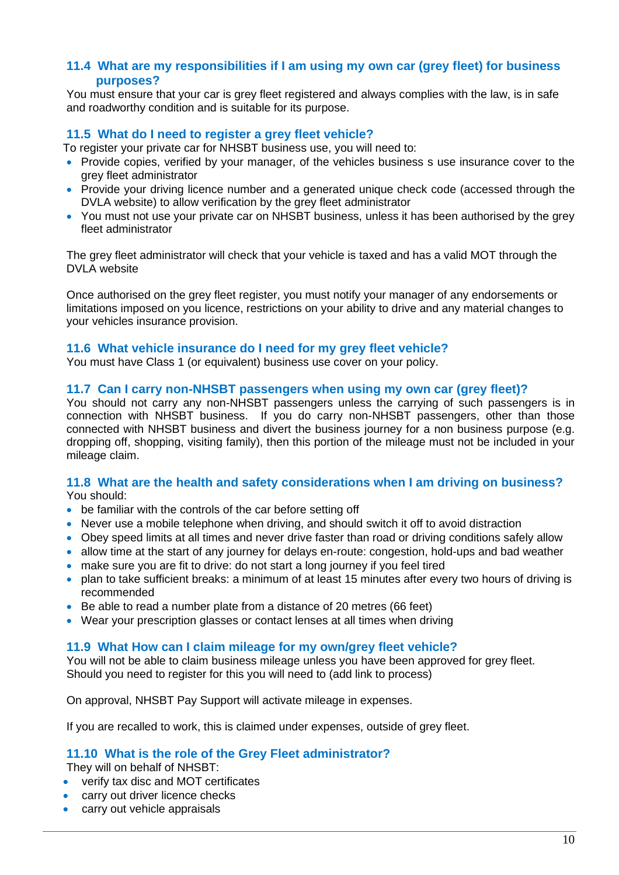## **11.4 What are my responsibilities if I am using my own car (grey fleet) for business purposes?**

You must ensure that your car is grey fleet registered and always complies with the law, is in safe and roadworthy condition and is suitable for its purpose.

## **11.5 What do I need to register a grey fleet vehicle?**

To register your private car for NHSBT business use, you will need to:

- Provide copies, verified by your manager, of the vehicles business s use insurance cover to the grey fleet administrator
- Provide your driving licence number and a generated unique check code (accessed through the DVLA website) to allow verification by the grey fleet administrator
- You must not use your private car on NHSBT business, unless it has been authorised by the grey fleet administrator

The grey fleet administrator will check that your vehicle is taxed and has a valid MOT through the DVLA website

Once authorised on the grey fleet register, you must notify your manager of any endorsements or limitations imposed on you licence, restrictions on your ability to drive and any material changes to your vehicles insurance provision.

## **11.6 What vehicle insurance do I need for my grey fleet vehicle?**

You must have Class 1 (or equivalent) business use cover on your policy.

#### **11.7 Can I carry non-NHSBT passengers when using my own car (grey fleet)?**

You should not carry any non-NHSBT passengers unless the carrying of such passengers is in connection with NHSBT business. If you do carry non-NHSBT passengers, other than those connected with NHSBT business and divert the business journey for a non business purpose (e.g. dropping off, shopping, visiting family), then this portion of the mileage must not be included in your mileage claim.

## **11.8 What are the health and safety considerations when I am driving on business?**

You should:

- be familiar with the controls of the car before setting off
- Never use a mobile telephone when driving, and should switch it off to avoid distraction
- Obey speed limits at all times and never drive faster than road or driving conditions safely allow
- allow time at the start of any journey for delays en-route: congestion, hold-ups and bad weather
- make sure you are fit to drive: do not start a long journey if you feel tired
- plan to take sufficient breaks: a minimum of at least 15 minutes after every two hours of driving is recommended
- Be able to read a number plate from a distance of 20 metres (66 feet)
- Wear your prescription glasses or contact lenses at all times when driving

## **11.9 What How can I claim mileage for my own/grey fleet vehicle?**

You will not be able to claim business mileage unless you have been approved for grey fleet. Should you need to register for this you will need to (add link to process)

On approval, NHSBT Pay Support will activate mileage in expenses.

If you are recalled to work, this is claimed under expenses, outside of grey fleet.

## **11.10 What is the role of the Grey Fleet administrator?**

They will on behalf of NHSBT:

- verify tax disc and MOT certificates
- carry out driver licence checks
- carry out vehicle appraisals